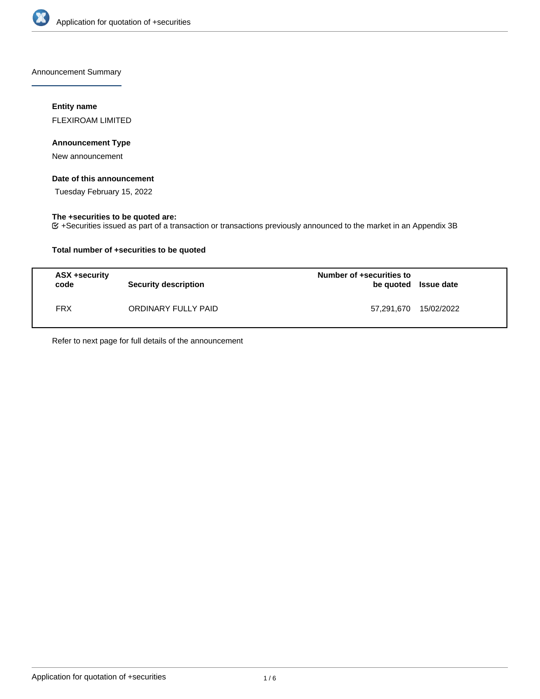

Announcement Summary

## **Entity name**

FLEXIROAM LIMITED

## **Announcement Type**

New announcement

## **Date of this announcement**

Tuesday February 15, 2022

# **The +securities to be quoted are:**

+Securities issued as part of a transaction or transactions previously announced to the market in an Appendix 3B

## **Total number of +securities to be quoted**

| ASX +security<br>code | <b>Security description</b> | Number of +securities to<br>be quoted Issue date |  |
|-----------------------|-----------------------------|--------------------------------------------------|--|
| <b>FRX</b>            | ORDINARY FULLY PAID         | 57,291,670 15/02/2022                            |  |

Refer to next page for full details of the announcement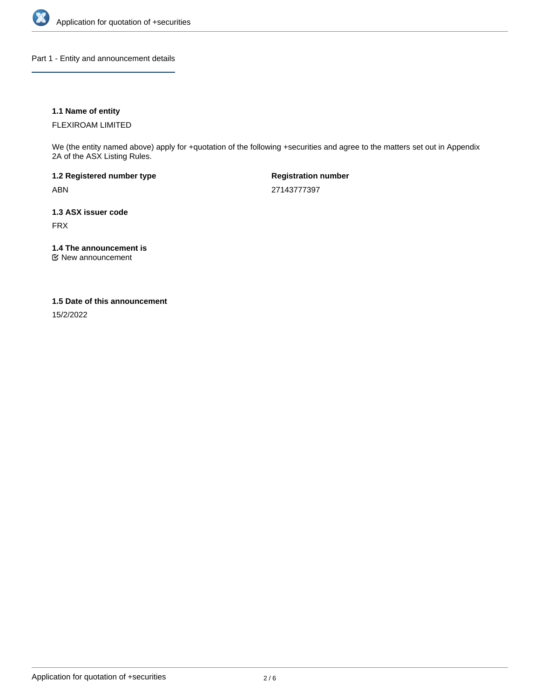

Part 1 - Entity and announcement details

## **1.1 Name of entity**

FLEXIROAM LIMITED

We (the entity named above) apply for +quotation of the following +securities and agree to the matters set out in Appendix 2A of the ASX Listing Rules.

**1.2 Registered number type** ABN

**Registration number** 27143777397

**1.3 ASX issuer code** FRX

**1.4 The announcement is**

New announcement

### **1.5 Date of this announcement**

15/2/2022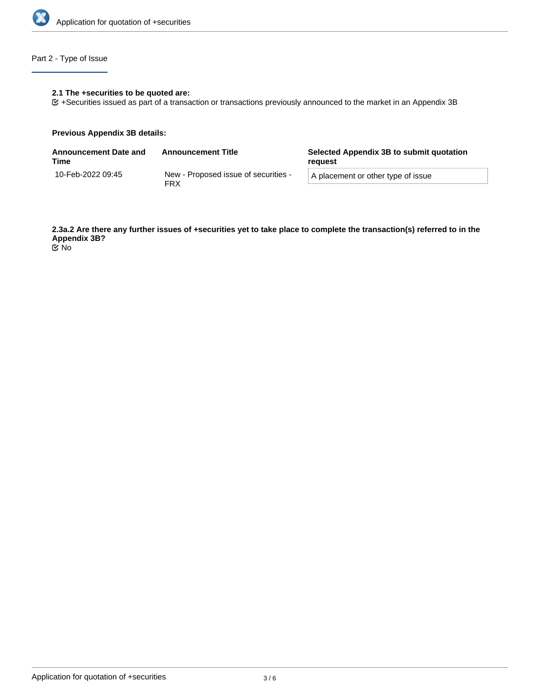

# Part 2 - Type of Issue

## **2.1 The +securities to be quoted are:**

+Securities issued as part of a transaction or transactions previously announced to the market in an Appendix 3B

#### **Previous Appendix 3B details:**

| <b>Announcement Date and</b><br>Time | <b>Announcement Title</b>                          | Selected Appendix 3B to submit quotation<br>reauest |  |
|--------------------------------------|----------------------------------------------------|-----------------------------------------------------|--|
| 10-Feb-2022 09:45                    | New - Proposed issue of securities -<br><b>FRX</b> | A placement or other type of issue                  |  |

**2.3a.2 Are there any further issues of +securities yet to take place to complete the transaction(s) referred to in the Appendix 3B?**

No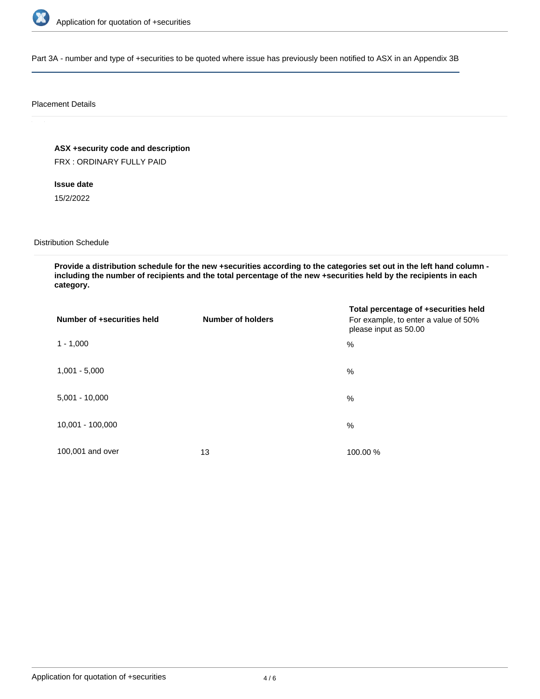

Part 3A - number and type of +securities to be quoted where issue has previously been notified to ASX in an Appendix 3B

### Placement Details

**ASX +security code and description**

FRX : ORDINARY FULLY PAID

**Issue date**

15/2/2022

Distribution Schedule

**Provide a distribution schedule for the new +securities according to the categories set out in the left hand column including the number of recipients and the total percentage of the new +securities held by the recipients in each category.**

| Number of +securities held | <b>Number of holders</b> | Total percentage of +securities held<br>For example, to enter a value of 50%<br>please input as 50.00 |
|----------------------------|--------------------------|-------------------------------------------------------------------------------------------------------|
| $1 - 1,000$                |                          | $\frac{0}{0}$                                                                                         |
| $1,001 - 5,000$            |                          | $\frac{0}{0}$                                                                                         |
| $5,001 - 10,000$           |                          | $\frac{0}{0}$                                                                                         |
| 10,001 - 100,000           |                          | %                                                                                                     |
| 100,001 and over           | 13                       | 100.00 %                                                                                              |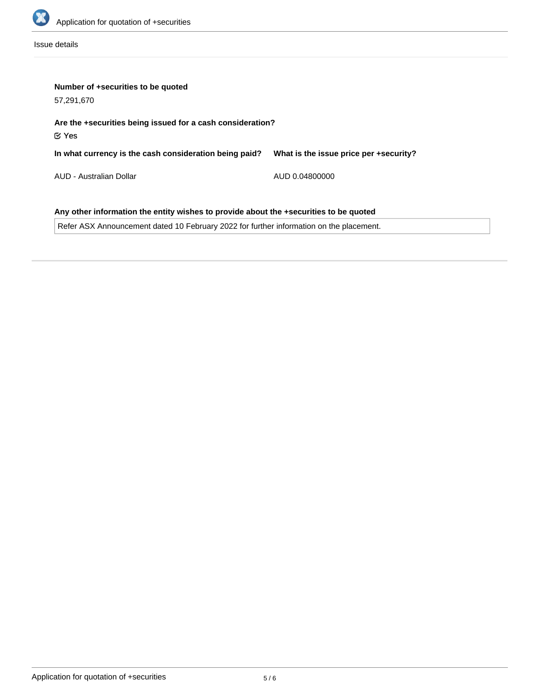

Issue details

| Number of +securities to be quoted<br>57,291,670                                      |                                        |  |  |  |
|---------------------------------------------------------------------------------------|----------------------------------------|--|--|--|
| Are the +securities being issued for a cash consideration?<br>$\mathfrak C$ Yes       |                                        |  |  |  |
| In what currency is the cash consideration being paid?                                | What is the issue price per +security? |  |  |  |
| AUD - Australian Dollar                                                               | AUD 0.04800000                         |  |  |  |
| Any other information the entity wishes to provide about the +securities to be quoted |                                        |  |  |  |

Refer ASX Announcement dated 10 February 2022 for further information on the placement.